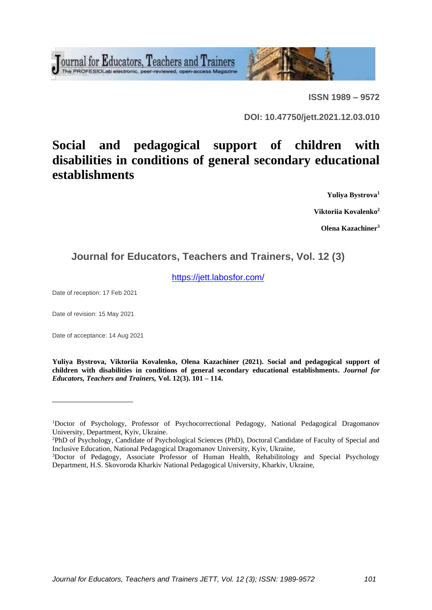Tournal for Educators, Teachers and Trainers



**ISSN 1989 – 9572**

**DOI: 10.47750/jett.2021.12.03.010**

# **Social and pedagogical support of children with disabilities in conditions of general secondary educational establishments**

**Yuliya Bystrova<sup>1</sup>**

**Viktoriia Kovalenko<sup>2</sup>**

**Olena Kazachiner<sup>3</sup>**

# **Journal for Educators, Teachers and Trainers, Vol. 12 (3)**

<https://jett.labosfor.com/>

Date of reception: 17 Feb 2021

Date of revision: 15 May 2021

Date of acceptance: 14 Aug 2021

**Yuliya Bystrova, Viktoriia Kovalenko, Olena Kazachiner (2021). Social and pedagogical support of children with disabilities in conditions of general secondary educational establishments.** *Journal for Educators, Teachers and Trainers,* **Vol. 12(3). 101 – 114.**

<sup>&</sup>lt;sup>1</sup>Doctor of Psychology, Professor of Psychocorrectional Pedagogy, National Pedagogical Dragomanov University*,* Department, Kyiv, Ukraine.

<sup>2</sup>PhD of Psychology, Candidate of Psychological Sciences (PhD), Doctoral Candidate of Faculty of Special and Inclusive Education, National Pedagogical Dragomanov University, Kyiv, Ukraine,

<sup>&</sup>lt;sup>3</sup>Doctor of Pedagogy, Associate Professor of Human Health, Rehabilitology and Special Psychology Department, H.S. Skovoroda Kharkiv National Pedagogical University, Kharkiv, Ukraine,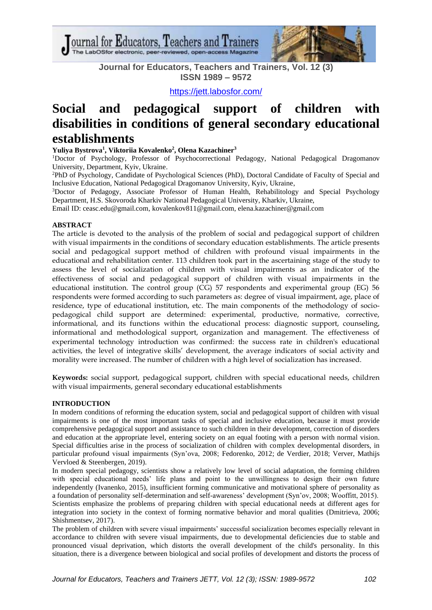Journal for Educators, Teachers and Trainers he LabOSfor electronic, peer-reviewed, open-access Magazine



**Journal for Educators, Teachers and Trainers, Vol. 12 (3) ISSN 1989 – 9572**

<https://jett.labosfor.com/>

# **Social and pedagogical support of children with disabilities in conditions of general secondary educational establishments**

**Yuliya Bystrova<sup>1</sup> , Viktoriia Kovalenko<sup>2</sup> , Olena Kazachiner<sup>3</sup>**

<sup>1</sup>Doctor of Psychology, Professor of Psychocorrectional Pedagogy, National Pedagogical Dragomanov University*,* Department, Kyiv, Ukraine.

<sup>2</sup>PhD of Psychology, Candidate of Psychological Sciences (PhD), Doctoral Candidate of Faculty of Special and Inclusive Education, National Pedagogical Dragomanov University, Kyiv, Ukraine,

<sup>3</sup>Doctor of Pedagogy, Associate Professor of Human Health, Rehabilitology and Special Psychology Department, H.S. Skovoroda Kharkiv National Pedagogical University, Kharkiv, Ukraine,

Email ID: [ceasc.edu@gmail.com,](mailto:ceasc.edu@gmail.com) [kovalenkov811@gmail.com,](mailto:kovalenkov811@gmail.com) [elena.kazachiner@gmail.com](mailto:elena.kazachiner@gmail.com)

# **ABSTRACT**

The article is devoted to the analysis of the problem of social and pedagogical support of children with visual impairments in the conditions of secondary education establishments. The article presents social and pedagogical support method of children with profound visual impairments in the educational and rehabilitation center. 113 children took part in the ascertaining stage of the study to assess the level of socialization of children with visual impairments as an indicator of the effectiveness of social and pedagogical support of children with visual impairments in the educational institution. The control group (CG) 57 respondents and experimental group (EG) 56 respondents were formed according to such parameters as: degree of visual impairment, age, place of residence, type of educational institution, etc. The main components of the methodology of sociopedagogical child support are determined: experimental, productive, normative, corrective, informational, and its functions within the educational process: diagnostic support, counseling, informational and methodological support, organization and management. The effectiveness of experimental technology introduction was confirmed: the success rate in children's educational activities, the level of integrative skills' development, the average indicators of social activity and morality were increased. The number of children with a high level of socialization has increased.

**Keywords:** social support, pedagogical support, children with special educational needs, children with visual impairments, general secondary educational establishments

# **INTRODUCTION**

In modern conditions of reforming the education system, social and pedagogical support of children with visual impairments is one of the most important tasks of special and inclusive education, because it must provide comprehensive pedagogical support and assistance to such children in their development, correction of disorders and education at the appropriate level, entering society on an equal footing with a person with normal vision. Special difficulties arise in the process of socialization of children with complex developmental disorders, in particular profound visual impairments (Syn'ova, 2008; Fedorenko, 2012; de Verdier, 2018; Verver, Mathijs Vervloed & Steenbergen, 2019).

In modern special pedagogy, scientists show a relatively low level of social adaptation, the forming children with special educational needs' life plans and point to the unwillingness to design their own future independently (Ivanenko, 2015), insufficient forming communicative and motivational sphere of personality as a foundation of personality self-determination and self-awareness' development (Syn'ov, 2008; Wooffitt, 2015). Scientists emphasize the problems of preparing children with special educational needs at different ages for integration into society in the context of forming normative behavior and moral qualities (Dmitrieva, 2006; Shishmentsev, 2017).

The problem of children with severe visual impairments' successful socialization becomes especially relevant in accordance to children with severe visual impairments, due to developmental deficiencies due to stable and pronounced visual deprivation, which distorts the overall development of the child's personality. In this situation, there is a divergence between biological and social profiles of development and distorts the process of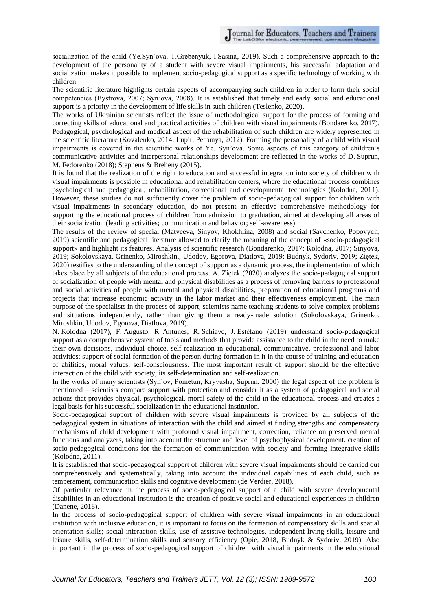socialization of the child (Ye.Syn'ova, T.Grebenyuk, I.Sasina, 2019). Such a comprehensive approach to the development of the personality of a student with severe visual impairments, his successful adaptation and socialization makes it possible to implement socio-pedagogical support as a specific technology of working with children.

The scientific literature highlights certain aspects of accompanying such children in order to form their social competencies (Bystrova, 2007; Syn'ova, 2008). It is established that timely and early social and educational support is a priority in the development of life skills in such children (Teslenko, 2020).

The works of Ukrainian scientists reflect the issue of methodological support for the process of forming and correcting skills of educational and practical activities of children with visual impairments (Bondarenko, 2017). Pedagogical, psychological and medical aspect of the rehabilitation of such children are widely represented in the scientific literature (Kovalenko, 2014: Lupir, Petrunya, 2012). Forming the personality of a child with visual impairments is covered in the scientific works of Ye. Syn'ova. Some aspects of this category of children's communicative activities and interpersonal relationships development are reflected in the works of D. Suprun, M. Fedorenko (2018); Stephens & Breheny (2015).

It is found that the realization of the right to education and successful integration into society of children with visual impairments is possible in educational and rehabilitation centers, where the educational process combines psychological and pedagogical, rehabilitation, correctional and developmental technologies (Kolodna, 2011). However, these studies do not sufficiently cover the problem of socio-pedagogical support for children with visual impairments in secondary education, do not present an effective comprehensive methodology for supporting the educational process of children from admission to graduation, aimed at developing all areas of their socialization (leading activities; communication and behavior; self-awareness).

The results of the review of special (Matveeva, Sinyov, Khokhlina, 2008) and social (Savchenko, Popovych, 2019) scientific and pedagogical literature allowed to clarify the meaning of the concept of «socio-pedagogical support» and highlight its features. Analysis of scientific research (Bondarenko, 2017; Kolodna, 2017; Sinyova, 2019; Sokolovskaya, Grinenko, Miroshkin., Udodov, Egorova, Diatlova, 2019; Budnyk, Sydoriv, 2019; Ziętek, 2020) testifies to the understanding of the concept of support as a dynamic process, the implementation of which takes place by all subjects of the educational process. A. Ziętek (2020) analyzes the socio-pedagogical support of socialization of people with mental and physical disabilities as a process of removing barriers to professional and social activities of people with mental and physical disabilities, preparation of educational programs and projects that increase economic activity in the labor market and their effectiveness employment. The main purpose of the specialists in the process of support, scientists name teaching students to solve complex problems and situations independently, rather than giving them a ready-made solution (Sokolovskaya, Grinenko, Miroshkin, Udodov, Egorova, Diatlova, 2019).

N. Kolodna (2017), F. Augusto, R. Antunes, R. Schiave, J. Estéfano (2019) understand socio-pedagogical support as a comprehensive system of tools and methods that provide assistance to the child in the need to make their own decisions, individual choice, self-realization in educational, communicative, professional and labor activities; support of social formation of the person during formation in it in the course of training and education of abilities, moral values, self-consciousness. The most important result of support should be the effective interaction of the child with society, its self-determination and self-realization.

In the works of many scientists (Syn'ov, Pometun, Kryvusha, Suprun, 2000) the legal aspect of the problem is mentioned – scientists compare support with protection and consider it as a system of pedagogical and social actions that provides physical, psychological, moral safety of the child in the educational process and creates a legal basis for his successful socialization in the educational institution.

Socio-pedagogical support of children with severe visual impairments is provided by all subjects of the pedagogical system in situations of interaction with the child and aimed at finding strengths and compensatory mechanisms of child development with profound visual impairment, correction, reliance on preserved mental functions and analyzers, taking into account the structure and level of psychophysical development. creation of socio-pedagogical conditions for the formation of communication with society and forming integrative skills (Kolodna, 2011).

It is established that socio-pedagogical support of children with severe visual impairments should be carried out comprehensively and systematically, taking into account the individual capabilities of each child, such as temperament, communication skills and cognitive development (de Verdier, 2018).

Of particular relevance in the process of socio-pedagogical support of a child with severe developmental disabilities in an educational institution is the creation of positive social and educational experiences in children (Danene, 2018).

In the process of socio-pedagogical support of children with severe visual impairments in an educational institution with inclusive education, it is important to focus on the formation of compensatory skills and spatial orientation skills; social interaction skills, use of assistive technologies, independent living skills, leisure and leisure skills, self-determination skills and sensory efficiency (Opie, 2018, Budnyk & Sydoriv, 2019). Also important in the process of socio-pedagogical support of children with visual impairments in the educational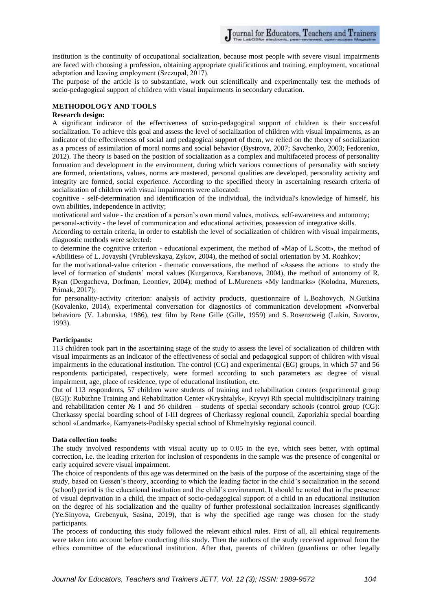institution is the continuity of occupational socialization, because most people with severe visual impairments are faced with choosing a profession, obtaining appropriate qualifications and training, employment, vocational adaptation and leaving employment (Szczupał, 2017).

The purpose of the article is to substantiate, work out scientifically and experimentally test the methods of socio-pedagogical support of children with visual impairments in secondary education.

# **METHODOLOGY AND TOOLS**

#### **Research design:**

A significant indicator of the effectiveness of socio-pedagogical support of children is their successful socialization. To achieve this goal and assess the level of socialization of children with visual impairments, as an indicator of the effectiveness of social and pedagogical support of them, we relied on the theory of socialization as a process of assimilation of moral norms and social behavior (Bystrova, 2007; Savchenko, 2003; Fedorenko, 2012). The theory is based on the position of socialization as a complex and multifaceted process of personality formation and development in the environment, during which various connections of personality with society are formed, orientations, values, norms are mastered, personal qualities are developed, personality activity and integrity are formed, social experience. According to the specified theory in ascertaining research criteria of socialization of children with visual impairments were allocated:

cognitive - self-determination and identification of the individual, the individual's knowledge of himself, his own abilities, independence in activity;

motivational and value - the creation of a person's own moral values, motives, self-awareness and autonomy;

personal-activity - the level of communication and educational activities, possession of integrative skills.

According to certain criteria, in order to establish the level of socialization of children with visual impairments, diagnostic methods were selected:

to determine the cognitive criterion - educational experiment, the method of «Map of L.Scott», the method of «Abilities» of L. Jovayshi (Vrublevskaya, Zykov, 2004), the method of social orientation by M. Rozhkov;

for the motivational-value criterion - thematic conversations, the method of «Assess the action» to study the level of formation of students' moral values (Kurganova, Karabanova, 2004), the method of autonomy of R. Ryan (Dergacheva, Dorfman, Leontiev, 2004); method of L.Murenets «My landmarks» (Kolodna, Murenets, Primak, 2017);

for personality-activity criterion: analysis of activity products, questionnaire of L.Bozhovych, N.Gutkina (Kovalenko, 2014), experimental conversation for diagnostics of communication development «Nonverbal behavior» (V. Labunska, 1986), test film by Rene Gille (Gille, 1959) and S. Rosenzweig (Lukin, Suvorov, 1993).

#### **Participants:**

113 children took part in the ascertaining stage of the study to assess the level of socialization of children with visual impairments as an indicator of the effectiveness of social and pedagogical support of children with visual impairments in the educational institution. The control (CG) and experimental (EG) groups, in which 57 and 56 respondents participated, respectively, were formed according to such parameters as: degree of visual impairment, age, place of residence, type of educational institution, etc.

Out of 113 respondents, 57 children were students of training and rehabilitation centers (experimental group (EG)): Rubizhne Training and Rehabilitation Center «Kryshtalyk», Kryvyi Rih special multidisciplinary training and rehabilitation center № 1 and 56 children – students of special secondary schools (control group (CG): Cherkassy special boarding school of I-III degrees of Cherkassy regional council, Zaporizhia special boarding school «Landmark», Kamyanets-Podilsky special school of Khmelnytsky regional council.

#### **Data collection tools:**

The study involved respondents with visual acuity up to 0.05 in the eye, which sees better, with optimal correction, i.e. the leading criterion for inclusion of respondents in the sample was the presence of congenital or early acquired severe visual impairment.

The choice of respondents of this age was determined on the basis of the purpose of the ascertaining stage of the study, based on Gessen's theory, according to which the leading factor in the child's socialization in the second (school) period is the educational institution and the child's environment. It should be noted that in the presence of visual deprivation in a child, the impact of socio-pedagogical support of a child in an educational institution on the degree of his socialization and the quality of further professional socialization increases significantly (Ye.Sinyova, Grebenyuk, Sasina, 2019), that is why the specified age range was chosen for the study participants.

The process of conducting this study followed the relevant ethical rules. First of all, all ethical requirements were taken into account before conducting this study. Then the authors of the study received approval from the ethics committee of the educational institution. After that, parents of children (guardians or other legally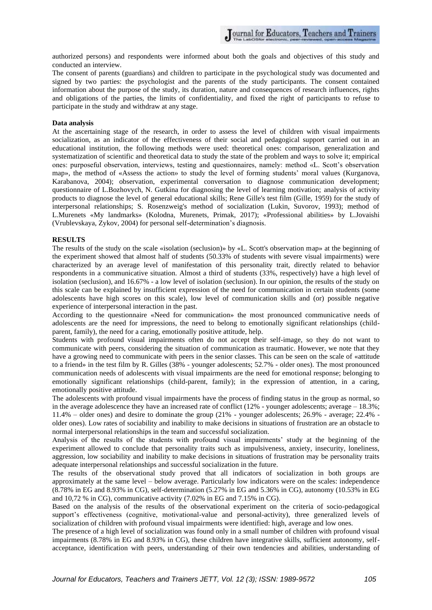authorized persons) and respondents were informed about both the goals and objectives of this study and conducted an interview.

The consent of parents (guardians) and children to participate in the psychological study was documented and signed by two parties: the psychologist and the parents of the study participants. The consent contained information about the purpose of the study, its duration, nature and consequences of research influences, rights and obligations of the parties, the limits of confidentiality, and fixed the right of participants to refuse to participate in the study and withdraw at any stage.

### **Data analysis**

At the ascertaining stage of the research, in order to assess the level of children with visual impairments socialization, as an indicator of the effectiveness of their social and pedagogical support carried out in an educational institution, the following methods were used: theoretical ones: comparison, generalization and systematization of scientific and theoretical data to study the state of the problem and ways to solve it; empirical ones: purposeful observation, interviews, testing and questionnaires, namely: method «L. Scott's observation map», the method of «Assess the action» to study the level of forming students' moral values (Kurganova, Karabanova, 2004); observation, experimental conversation to diagnose communication development; questionnaire of L.Bozhovych, N. Gutkina for diagnosing the level of learning motivation; analysis of activity products to diagnose the level of general educational skills; Rene Gille's test film (Gille, 1959) for the study of interpersonal relationships; S. Rosenzweig's method of socialization (Lukin, Suvorov, 1993); method of L.Murenets «My landmarks» (Kolodna, Murenets, Primak, 2017); «Professional abilities» by L.Jovaishi (Vrublevskaya, Zykov, 2004) for personal self-determination's diagnosis.

#### **RESULTS**

The results of the study on the scale «isolation (seclusion)» by «L. Scott's observation map» at the beginning of the experiment showed that almost half of students (50.33% of students with severe visual impairments) were characterized by an average level of manifestation of this personality trait, directly related to behavior respondents in a communicative situation. Almost a third of students (33%, respectively) have a high level of isolation (seclusion), and 16.67% - a low level of isolation (seclusion). In our opinion, the results of the study on this scale can be explained by insufficient expression of the need for communication in certain students (some adolescents have high scores on this scale), low level of communication skills and (or) possible negative experience of interpersonal interaction in the past.

According to the questionnaire «Need for communication» the most pronounced communicative needs of adolescents are the need for impressions, the need to belong to emotionally significant relationships (childparent, family), the need for a caring, emotionally positive attitude, help.

Students with profound visual impairments often do not accept their self-image, so they do not want to communicate with peers, considering the situation of communication as traumatic. However, we note that they have a growing need to communicate with peers in the senior classes. This can be seen on the scale of «attitude to a friend» in the test film by R. Gilles (38% - younger adolescents; 52.7% - older ones). The most pronounced communication needs of adolescents with visual impairments are the need for emotional response; belonging to emotionally significant relationships (child-parent, family); in the expression of attention, in a caring, emotionally positive attitude.

The adolescents with profound visual impairments have the process of finding status in the group as normal, so in the average adolescence they have an increased rate of conflict  $(12\%$  - younger adolescents; average  $-18.3\%$ ; 11.4% – older ones) and desire to dominate the group (21% - younger adolescents; 26.9% - average; 22.4% older ones). Low rates of sociability and inability to make decisions in situations of frustration are an obstacle to normal interpersonal relationships in the team and successful socialization.

Analysis of the results of the students with profound visual impairments' study at the beginning of the experiment allowed to conclude that personality traits such as impulsiveness, anxiety, insecurity, loneliness, aggression, low sociability and inability to make decisions in situations of frustration may be personality traits adequate interpersonal relationships and successful socialization in the future.

The results of the observational study proved that all indicators of socialization in both groups are approximately at the same level – below average. Particularly low indicators were on the scales: independence (8.78% in EG and 8.93% in CG), self-determination (5.27% in EG and 5.36% in CG), autonomy (10.53% in EG and 10,72 % in CG), communicative activity (7.02% in EG and 7.15% in CG).

Based on the analysis of the results of the observational experiment on the criteria of socio-pedagogical support's effectiveness (cognitive, motivational-value and personal-activity), three generalized levels of socialization of children with profound visual impairments were identified: high, average and low ones.

The presence of a high level of socialization was found only in a small number of children with profound visual impairments (8.78% in EG and 8.93% in CG), these children have integrative skills, sufficient autonomy, selfacceptance, identification with peers, understanding of their own tendencies and abilities, understanding of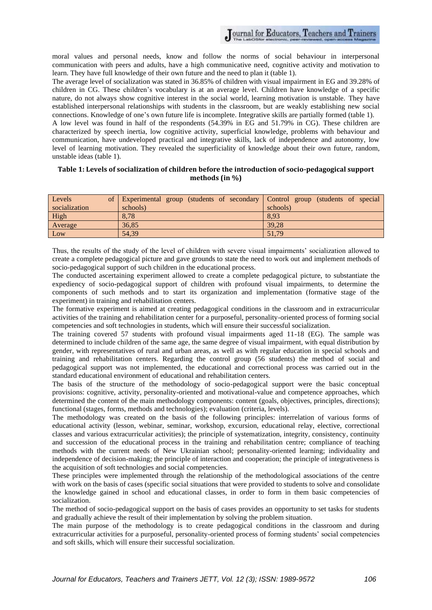moral values and personal needs, know and follow the norms of social behaviour in interpersonal communication with peers and adults, have a high communicative need, cognitive activity and motivation to learn. They have full knowledge of their own future and the need to plan it (table 1).

The average level of socialization was stated in 36.85% of children with visual impairment in EG and 39.28% of children in CG. These children's vocabulary is at an average level. Children have knowledge of a specific nature, do not always show cognitive interest in the social world, learning motivation is unstable. They have established interpersonal relationships with students in the classroom, but are weakly establishing new social connections. Knowledge of one's own future life is incomplete. Integrative skills are partially formed (table 1). A low level was found in half of the respondents (54.39% in EG and 51.79% in CG). These children are characterized by speech inertia, low cognitive activity, superficial knowledge, problems with behaviour and communication, have undeveloped practical and integrative skills, lack of independence and autonomy, low level of learning motivation. They revealed the superficiality of knowledge about their own future, random, unstable ideas (table 1).

## **Table 1: Levels of socialization of children before the introduction of socio-pedagogical support methods (in %)**

| Levels        | of Experimental group (students of secondary Control group (students of special |          |
|---------------|---------------------------------------------------------------------------------|----------|
| socialization | schools)                                                                        | schools) |
| High          | 8.78                                                                            | 8,93     |
| Average       | 36,85                                                                           | 39,28    |
| Low           | 54.39                                                                           | 51,79    |

Thus, the results of the study of the level of children with severe visual impairments' socialization allowed to create a complete pedagogical picture and gave grounds to state the need to work out and implement methods of socio-pedagogical support of such children in the educational process.

The conducted ascertaining experiment allowed to create a complete pedagogical picture, to substantiate the expediency of socio-pedagogical support of children with profound visual impairments, to determine the components of such methods and to start its organization and implementation (formative stage of the experiment) in training and rehabilitation centers.

The formative experiment is aimed at creating pedagogical conditions in the classroom and in extracurricular activities of the training and rehabilitation center for a purposeful, personality-oriented process of forming social competencies and soft technologies in students, which will ensure their successful socialization.

The training covered 57 students with profound visual impairments aged 11-18 (EG). The sample was determined to include children of the same age, the same degree of visual impairment, with equal distribution by gender, with representatives of rural and urban areas, as well as with regular education in special schools and training and rehabilitation centers. Regarding the control group (56 students) the method of social and pedagogical support was not implemented, the educational and correctional process was carried out in the standard educational environment of educational and rehabilitation centers.

The basis of the structure of the methodology of socio-pedagogical support were the basic conceptual provisions: cognitive, activity, personality-oriented and motivational-value and competence approaches, which determined the content of the main methodology components: content (goals, objectives, principles, directions); functional (stages, forms, methods and technologies); evaluation (criteria, levels).

The methodology was created on the basis of the following principles: interrelation of various forms of educational activity (lesson, webinar, seminar, workshop, excursion, educational relay, elective, correctional classes and various extracurricular activities); the principle of systematization, integrity, consistency, continuity and succession of the educational process in the training and rehabilitation centre; compliance of teaching methods with the current needs of New Ukrainian school; personality-oriented learning; individuality and independence of decision-making; the principle of interaction and cooperation; the principle of integrativeness is the acquisition of soft technologies and social competencies.

These principles were implemented through the relationship of the methodological associations of the centre with work on the basis of cases (specific social situations that were provided to students to solve and consolidate the knowledge gained in school and educational classes, in order to form in them basic competencies of socialization.

The method of socio-pedagogical support on the basis of cases provides an opportunity to set tasks for students and gradually achieve the result of their implementation by solving the problem situation.

The main purpose of the methodology is to create pedagogical conditions in the classroom and during extracurricular activities for a purposeful, personality-oriented process of forming students' social competencies and soft skills, which will ensure their successful socialization.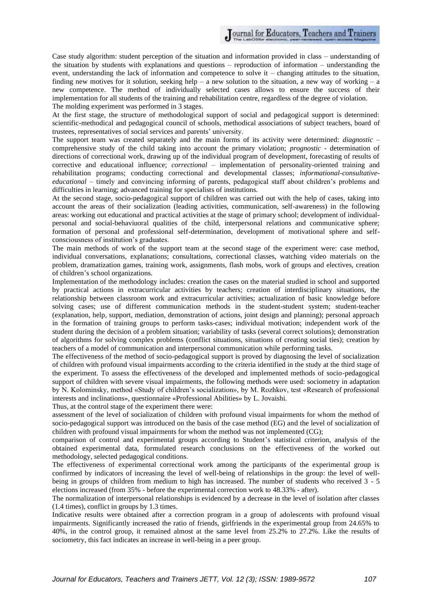Case study algorithm: student perception of the situation and information provided in class – understanding of the situation by students with explanations and questions – reproduction of information – understanding the event, understanding the lack of information and competence to solve it – changing attitudes to the situation, finding new motives for it solution, seeking help – a new solution to the situation, a new way of working – a new competence. The method of individually selected cases allows to ensure the success of their implementation for all students of the training and rehabilitation centre, regardless of the degree of violation. The molding experiment was performed in 3 stages.

At the first stage, the structure of methodological support of social and pedagogical support is determined: scientific-methodical and pedagogical council of schools, methodical associations of subject teachers, board of trustees, representatives of social services and parents' university.

The support team was created separately and the main forms of its activity were determined: *diagnostic* – comprehensive study of the child taking into account the primary violation; *prognostic* - determination of directions of correctional work, drawing up of the individual program of development, forecasting of results of corrective and educational influence; *correctional* – implementation of personality-oriented training and rehabilitation programs; conducting correctional and developmental classes; *informational-consultativeeducational* – timely and convincing informing of parents, pedagogical staff about children's problems and difficulties in learning; advanced training for specialists of institutions.

At the second stage, socio-pedagogical support of children was carried out with the help of cases, taking into account the areas of their socialization (leading activities, communication, self-awareness) in the following areas: working out educational and practical activities at the stage of primary school; development of individualpersonal and social-behaviuoral qualities of the child, interpersonal relations and communicative sphere; formation of personal and professional self-determination, development of motivational sphere and selfconsciousness of institution's graduates.

The main methods of work of the support team at the second stage of the experiment were: case method, individual conversations, explanations; consultations, correctional classes, watching video materials on the problem, dramatization games, training work, assignments, flash mobs, work of groups and electives, creation of children's school organizations.

Implementation of the methodology includes: creation the cases on the material studied in school and supported by practical actions in extracurricular activities by teachers; creation of interdisciplinary situations, the relationship between classroom work and extracurricular activities; actualization of basic knowledge before solving cases; use of different communication methods in the student-student system; student-teacher (explanation, help, support, mediation, demonstration of actions, joint design and planning); personal approach in the formation of training groups to perform tasks-cases; individual motivation; independent work of the student during the decision of a problem situation; variability of tasks (several correct solutions); demonstration of algorithms for solving complex problems (conflict situations, situations of creating social ties); creation by teachers of a model of communication and interpersonal communication while performing tasks.

The effectiveness of the method of socio-pedagogical support is proved by diagnosing the level of socialization of children with profound visual impairments according to the criteria identified in the study at the third stage of the experiment. To assess the effectiveness of the developed and implemented methods of socio-pedagogical support of children with severe visual impairments, the following methods were used: sociometry in adaptation by N. Kolominsky, method «Study of children's socialization», by M. Rozhkov, test «Research of professional interests and inclinations», questionnaire «Professional Abilities» by L. Jovaishi.

Thus, at the control stage of the experiment there were:

assessment of the level of socialization of children with profound visual impairments for whom the method of socio-pedagogical support was introduced on the basis of the case method (EG) and the level of socialization of children with profound visual impairments for whom the method was not implemented (CG);

comparison of control and experimental groups according to Student's statistical criterion, analysis of the obtained experimental data, formulated research conclusions on the effectiveness of the worked out methodology, selected pedagogical conditions.

The effectiveness of experimental correctional work among the participants of the experimental group is confirmed by indicators of increasing the level of well-being of relationships in the group: the level of wellbeing in groups of children from medium to high has increased. The number of students who received 3 - 5 elections increased (from 35% - before the experimental correction work to 48.33% - after).

The normalization of interpersonal relationships is evidenced by a decrease in the level of isolation after classes (1.4 times), conflict in groups by 1.3 times.

Indicative results were obtained after a correction program in a group of adolescents with profound visual impairments. Significantly increased the ratio of friends, girlfriends in the experimental group from 24.65% to 40%, in the control group, it remained almost at the same level from 25.2% to 27.2%. Like the results of sociometry, this fact indicates an increase in well-being in a peer group.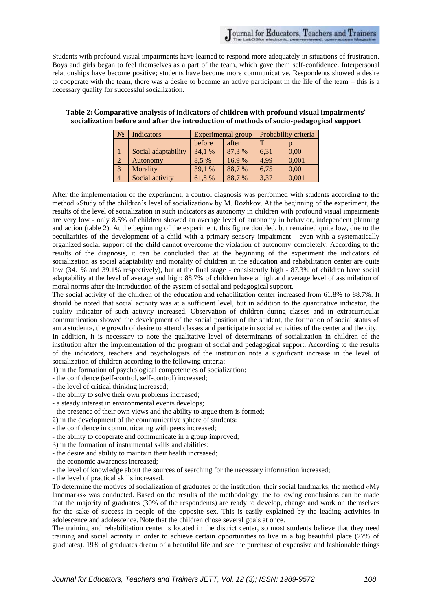Students with profound visual impairments have learned to respond more adequately in situations of frustration. Boys and girls began to feel themselves as a part of the team, which gave them self-confidence. Interpersonal relationships have become positive; students have become more communicative. Respondents showed a desire to cooperate with the team, there was a desire to become an active participant in the life of the team – this is a necessary quality for successful socialization.

| N <sub>2</sub> | Indicators          | <b>Experimental group</b> |        | Probability criteria |       |
|----------------|---------------------|---------------------------|--------|----------------------|-------|
|                |                     | before                    | after  | ௱                    |       |
|                | Social adaptability | 34.1 %                    | 87,3 % | 6,31                 | 0.00  |
| $\overline{2}$ | Autonomy            | 8.5 %                     | 16,9%  | 4,99                 | 0,001 |
| 3              | Morality            | 39,1 %                    | 88,7%  | 6,75                 | 0,00  |
|                | Social activity     | 61,8%                     | 88.7%  | 3,37                 | 0,001 |

## **Table 2:** C**omparative analysis of indicators of children with profound visual impairments' socialization before and after the introduction of methods of socio-pedagogical support**

After the implementation of the experiment, a control diagnosis was performed with students according to the method «Study of the children's level of socialization» by M. Rozhkov. At the beginning of the experiment, the results of the level of socialization in such indicators as autonomy in children with profound visual impairments are very low - only 8.5% of children showed an average level of autonomy in behavior, independent planning and action (table 2). At the beginning of the experiment, this figure doubled, but remained quite low, due to the peculiarities of the development of a child with a primary sensory impairment - even with a systematically organized social support of the child cannot overcome the violation of autonomy completely. According to the results of the diagnosis, it can be concluded that at the beginning of the experiment the indicators of socialization as social adaptability and morality of children in the education and rehabilitation center are quite low (34.1% and 39.1% respectively), but at the final stage - consistently high - 87.3% of children have social adaptability at the level of average and high; 88.7% of children have a high and average level of assimilation of moral norms after the introduction of the system of social and pedagogical support.

The social activity of the children of the education and rehabilitation center increased from 61.8% to 88.7%. It should be noted that social activity was at a sufficient level, but in addition to the quantitative indicator, the quality indicator of such activity increased. Observation of children during classes and in extracurricular communication showed the development of the social position of the student, the formation of social status «I am a student», the growth of desire to attend classes and participate in social activities of the center and the city. In addition, it is necessary to note the qualitative level of determinants of socialization in children of the institution after the implementation of the program of social and pedagogical support. According to the results of the indicators, teachers and psychologists of the institution note a significant increase in the level of socialization of children according to the following criteria:

1) in the formation of psychological competencies of socialization:

- the confidence (self-control, self-control) increased;

- the level of critical thinking increased;

- the ability to solve their own problems increased;

- a steady interest in environmental events develops;

- the presence of their own views and the ability to argue them is formed;

2) in the development of the communicative sphere of students:

- the confidence in communicating with peers increased;

- the ability to cooperate and communicate in a group improved;

3) in the formation of instrumental skills and abilities:

- the desire and ability to maintain their health increased;

- the economic awareness increased;

- the level of knowledge about the sources of searching for the necessary information increased;

- the level of practical skills increased.

To determine the motives of socialization of graduates of the institution, their social landmarks, the method «My landmarks» was conducted. Based on the results of the methodology, the following conclusions can be made that the majority of graduates (30% of the respondents) are ready to develop, change and work on themselves for the sake of success in people of the opposite sex. This is easily explained by the leading activities in adolescence and adolescence. Note that the children chose several goals at once.

The training and rehabilitation center is located in the district center, so most students believe that they need training and social activity in order to achieve certain opportunities to live in a big beautiful place (27% of graduates). 19% of graduates dream of a beautiful life and see the purchase of expensive and fashionable things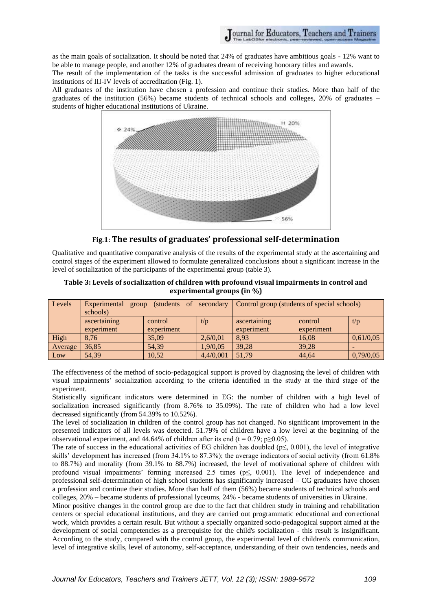as the main goals of socialization. It should be noted that 24% of graduates have ambitious goals - 12% want to be able to manage people, and another 12% of graduates dream of receiving honorary titles and awards.

The result of the implementation of the tasks is the successful admission of graduates to higher educational institutions of III-IV levels of accreditation (Fig. 1).

All graduates of the institution have chosen a profession and continue their studies. More than half of the graduates of the institution (56%) became students of technical schools and colleges, 20% of graduates – students of higher educational institutions of Ukraine.



**Fig.1: The results of graduates' professional self-determination** 

Qualitative and quantitative comparative analysis of the results of the experimental study at the ascertaining and control stages of the experiment allowed to formulate generalized conclusions about a significant increase in the level of socialization of the participants of the experimental group (table 3).

### **Table 3: Levels of socialization of children with profound visual impairments in control and experimental groups (in %)**

| Levels  | Experimental<br>group<br>schools) |            |           | (students of secondary Control group (students of special schools) |            |           |
|---------|-----------------------------------|------------|-----------|--------------------------------------------------------------------|------------|-----------|
|         | ascertaining                      | control    | t/p       | ascertaining                                                       | control    | t/p       |
|         | experiment                        | experiment |           | experiment                                                         | experiment |           |
| High    | 8.76                              | 35,09      | 2,6/0,01  | 8,93                                                               | 16,08      | 0,61/0,05 |
| Average | 36,85                             | 54,39      | 1,9/0,05  | 39,28                                                              | 39,28      |           |
| Low     | 54.39                             | 10.52      | 4,4/0,001 | 51.79                                                              | 44.64      | 0,79/0,05 |

The effectiveness of the method of socio-pedagogical support is proved by diagnosing the level of children with visual impairments' socialization according to the criteria identified in the study at the third stage of the experiment.

Statistically significant indicators were determined in EG: the number of children with a high level of socialization increased significantly (from 8.76% to 35.09%). The rate of children who had a low level decreased significantly (from 54.39% to 10.52%).

The level of socialization in children of the control group has not changed. No significant improvement in the presented indicators of all levels was detected. 51.79% of children have a low level at the beginning of the observational experiment, and 44.64% of children after its end (t = 0.79; p $\geq$ 0.05).

The rate of success in the educational activities of EG children has doubled ( $p \le 0.001$ ), the level of integrative skills' development has increased (from 34.1% to 87.3%); the average indicators of social activity (from 61.8% to 88.7%) and morality (from 39.1% to 88.7%) increased, the level of motivational sphere of children with profound visual impairments' forming increased 2.5 times (р≤, 0.001). The level of independence and professional self-determination of high school students has significantly increased – CG graduates have chosen a profession and continue their studies. More than half of them (56%) became students of technical schools and colleges, 20% – became students of professional lyceums, 24% - became students of universities in Ukraine.

Minor positive changes in the control group are due to the fact that children study in training and rehabilitation centers or special educational institutions, and they are carried out programmatic educational and correctional work, which provides a certain result. But without a specially organized socio-pedagogical support aimed at the development of social competencies as a prerequisite for the child's socialization - this result is insignificant. According to the study, compared with the control group, the experimental level of children's communication, level of integrative skills, level of autonomy, self-acceptance, understanding of their own tendencies, needs and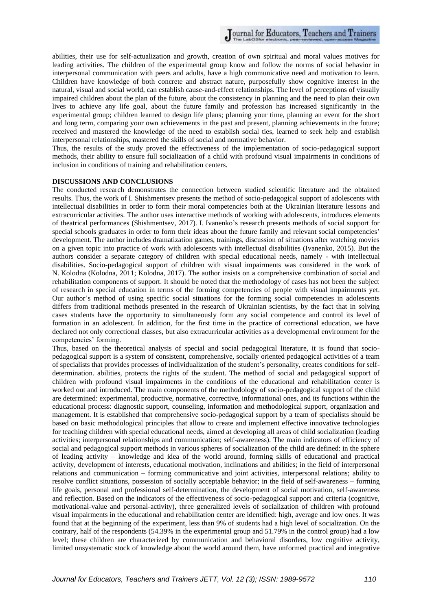abilities, their use for self-actualization and growth, creation of own spiritual and moral values motives for leading activities. The children of the experimental group know and follow the norms of social behavior in interpersonal communication with peers and adults, have a high communicative need and motivation to learn. Children have knowledge of both concrete and abstract nature, purposefully show cognitive interest in the natural, visual and social world, can establish cause-and-effect relationships. The level of perceptions of visually impaired children about the plan of the future, about the consistency in planning and the need to plan their own lives to achieve any life goal, about the future family and profession has increased significantly in the experimental group; children learned to design life plans; planning your time, planning an event for the short and long term, comparing your own achievements in the past and present, planning achievements in the future; received and mastered the knowledge of the need to establish social ties, learned to seek help and establish interpersonal relationships, mastered the skills of social and normative behavior.

Thus, the results of the study proved the effectiveness of the implementation of socio-pedagogical support methods, their ability to ensure full socialization of a child with profound visual impairments in conditions of inclusion in conditions of training and rehabilitation centers.

#### **DISCUSSIONS AND CONCLUSIONS**

The conducted research demonstrates the connection between studied scientific literature and the obtained results. Thus, the work of I. Shishmentsev presents the method of socio-pedagogical support of adolescents with intellectual disabilities in order to form their moral competencies both at the Ukrainian literature lessons and extracurricular activities. The author uses interactive methods of working with adolescents, introduces elements of theatrical performances (Shishmentsev, 2017). I. Ivanenko's research presents methods of social support for special schools graduates in order to form their ideas about the future family and relevant social competencies' development. The author includes dramatization games, trainings, discussion of situations after watching movies on a given topic into practice of work with adolescents with intellectual disabilities (Ivanenko, 2015). But the authors consider a separate category of children with special educational needs, namely - with intellectual disabilities. Socio-pedagogical support of children with visual impairments was considered in the work of N. Kolodna (Kolodna, 2011; Kolodna, 2017). The author insists on a comprehensive combination of social and rehabilitation components of support. It should be noted that the methodology of cases has not been the subject of research in special education in terms of the forming competencies of people with visual impairments yet. Our author's method of using specific social situations for the forming social competencies in adolescents differs from traditional methods presented in the research of Ukrainian scientists, by the fact that in solving cases students have the opportunity to simultaneously form any social competence and control its level of formation in an adolescent. In addition, for the first time in the practice of correctional education, we have declared not only correctional classes, but also extracurricular activities as a developmental environment for the competencies' forming.

Thus, based on the theoretical analysis of special and social pedagogical literature, it is found that sociopedagogical support is a system of consistent, comprehensive, socially oriented pedagogical activities of a team of specialists that provides processes of individualization of the student's personality, creates conditions for selfdetermination. abilities, protects the rights of the student. The method of social and pedagogical support of children with profound visual impairments in the conditions of the educational and rehabilitation center is worked out and introduced. The main components of the methodology of socio-pedagogical support of the child are determined: experimental, productive, normative, corrective, informational ones, and its functions within the educational process: diagnostic support, counseling, information and methodological support, organization and management. It is established that comprehensive socio-pedagogical support by a team of specialists should be based on basic methodological principles that allow to create and implement effective innovative technologies for teaching children with special educational needs, aimed at developing all areas of child socialization (leading activities; interpersonal relationships and communication; self-awareness). The main indicators of efficiency of social and pedagogical support methods in various spheres of socialization of the child are defined: in the sphere of leading activity – knowledge and idea of the world around, forming skills of educational and practical activity, development of interests, educational motivation, inclinations and abilities; in the field of interpersonal relations and communication – forming communicative and joint activities, interpersonal relations; ability to resolve conflict situations, possession of socially acceptable behavior; in the field of self-awareness – forming life goals, personal and professional self-determination, the development of social motivation, self-awareness and reflection. Based on the indicators of the effectiveness of socio-pedagogical support and criteria (cognitive, motivational-value and personal-activity), three generalized levels of socialization of children with profound visual impairments in the educational and rehabilitation center are identified: high, average and low ones. It was found that at the beginning of the experiment, less than 9% of students had a high level of socialization. On the contrary, half of the respondents (54.39% in the experimental group and 51.79% in the control group) had a low level; these children are characterized by communication and behavioral disorders, low cognitive activity, limited unsystematic stock of knowledge about the world around them, have unformed practical and integrative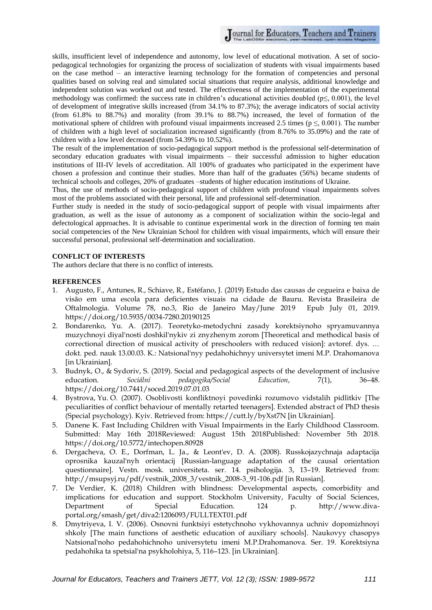skills, insufficient level of independence and autonomy, low level of educational motivation. A set of sociopedagogical technologies for organizing the process of socialization of students with visual impairments based on the case method – an interactive learning technology for the formation of competencies and personal qualities based on solving real and simulated social situations that require analysis, additional knowledge and independent solution was worked out and tested. The effectiveness of the implementation of the experimental methodology was confirmed: the success rate in children's educational activities doubled ( $p \le 0.001$ ), the level of development of integrative skills increased (from 34.1% to 87.3%); the average indicators of social activity (from 61.8% to 88.7%) and morality (from 39.1% to 88.7%) increased, the level of formation of the motivational sphere of children with profound visual impairments increased 2.5 times ( $p \leq 0.001$ ). The number of children with a high level of socialization increased significantly (from 8.76% to 35.09%) and the rate of children with a low level decreased (from 54.39% to 10.52%).

The result of the implementation of socio-pedagogical support method is the professional self-determination of secondary education graduates with visual impairments – their successful admission to higher education institutions of III-IV levels of accreditation. All 100% of graduates who participated in the experiment have chosen a profession and continue their studies. More than half of the graduates (56%) became students of technical schools and colleges, 20% of graduates –students of higher education institutions of Ukraine.

Thus, the use of methods of socio-pedagogical support of children with profound visual impairments solves most of the problems associated with their personal, life and professional self-determination.

Further study is needed in the study of socio-pedagogical support of people with visual impairments after graduation, as well as the issue of autonomy as a component of socialization within the socio-legal and defectological approaches. It is advisable to continue experimental work in the direction of forming ten main social competencies of the New Ukrainian School for children with visual impairments, which will ensure their successful personal, professional self-determination and socialization.

# **CONFLICT OF INTERESTS**

The authors declare that there is no conflict of interests.

# **REFERENCES**

- 1. Augusto, F., Antunes, R., Schiave, R., Estéfano, J. (2019) Estudo das causas de cegueira e baixa de visão em uma escola para deficientes visuais na cidade de Bauru. Revista Brasileira de Oftalmologia. Volume 78, no.3, Rio de Janeiro May/June 2019 Epub July 01, 2019. <https://doi.org/10.5935/0034-7280.20190125>
- 2. Bondarenko, Yu. A. (2017). Teoretyko-metodychni zasady korektsiynoho spryamuvannya muzychnoyi diyal'nosti doshkil'nykiv zi znyzhenym zorom [Theoretical and methodical basis of correctional direction of musical activity of preschoolers with reduced vision]: avtoref. dys. … dokt. ped. nauk 13.00.03. K.: Natsional'nyy pedahohichnyy universytet imeni M.P. Drahomanova [in Ukrainian].
- 3. Budnyk, O., & Sydoriv, S. (2019). Social and pedagogical aspects of the development of inclusive education. *Sociální pedagogika/Social Education*, 7(1), 36–48. <https://doi.org/10.7441/soced.2019.07.01.03>
- 4. Bystrova, Yu. O. (2007). Osoblivosti konfliktnoyi povedinki rozumovo vidstalih pidlitkiv [The peculiarities of conflict behaviour of mentally retarted teenagers]. Extended abstract of PhD thesis (Special psychology). Kуiv. Retrieved from: https://cutt.ly/byXst7N [in Ukrainian].
- 5. Danene K. Fast Including Children with Visual Impairments in the Early Childhood Classroom. Submitted: May 16th 2018Reviewed: August 15th 2018Published: November 5th 2018. https://doi.org/10.5772/intechopen.80928
- 6. Dergacheva, O. E., Dorfman, L. Ja., & Leont'ev, D. A. (2008). Russkojazychnaja adaptacija oprosnika kauzal'nyh orientacij [Russian-language adaptation of the causal orientation questionnaire]. Vestn. mosk. universiteta. ser. 14. psihologija. 3, 13–19. Retrieved from: [http://msupsyj.ru/pdf/vestnik\\_2008\\_3/vestnik\\_2008-3\\_91-106.pdf](http://msupsyj.ru/pdf/vestnik_2008_3/vestnik_2008-3_91-106.pdf) [in Russian].
- 7. De Verdier, K. (2018) Children with blindness: Developmental aspects, comorbidity and implications for education and support. Stockholm University, Faculty of Social Sciences, Department of Special Education. 124 p. [http://www.diva](http://www.diva-portal.org/smash/get/diva2:1206093/FULLTEXT01.pdf)[portal.org/smash/get/diva2:1206093/FULLTEXT01.pdf](http://www.diva-portal.org/smash/get/diva2:1206093/FULLTEXT01.pdf)
- 8. Dmytriyeva, I. V. (2006). Osnovni funktsiyi estetychnoho vykhovannya uchniv dopomizhnoyi shkoly [The main functions of aesthetic education of auxiliary schools]. Naukovyy chasopys Natsional'noho pedahohichnoho universytetu imeni M.P.Drahomanova. Ser. 19. Korektsiyna pedahohika ta spetsial'na psykholohiya, 5, 116–123. [in Ukrainian].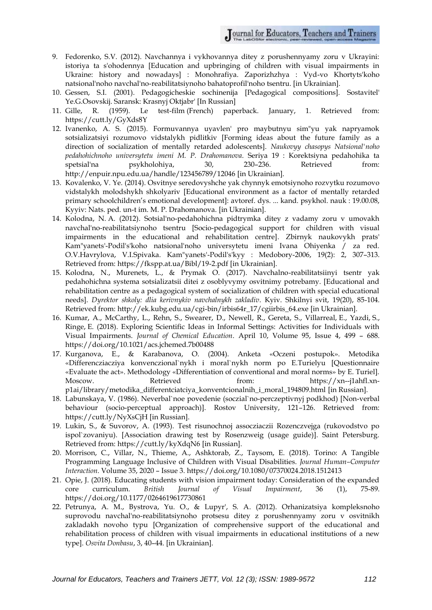Journal for Educators, Teachers and Trainers

- 9. Fedorenko, S.V. (2012). Navchannya i vykhovannya ditey z porushennyamy zoru v Ukrayini: istoriya ta s'ohodennya [Education and upbringing of children with visual impairments in Ukraine: history and nowadays] : Monohrafiya. Zaporizhzhya : Vyd-vo Khortyts'koho natsional'noho navchal'no-reabilitatsiynoho bahatoprofil'noho tsentru. [in Ukrainian].
- 10. Gessen, S.I. (2001). Pedagogicheskie sochinenija [Pedagogical compositions]. Sostavitel' Ye.G.Osovskij. Saransk: Krasnyj Oktjabr' [In Russian]
- 11. Gille, R. (1959). Le test-film (French) paperback. January, 1. Retrieved from: <https://cutt.ly/GyXds8Y>
- 12. Ivanenko, A. S. (2015). Formuvannya uyavlen' pro maybutnyu sim"yu yak napryamok sotsializatsiyi rozumovo vidstalykh pidlitkiv [Forming ideas about the future family as a direction of socialization of mentally retarded adolescents]. *Naukovyy chasopys Natsional'noho pedahohichnoho universytetu imeni M. P. Drahomanova*. Seriya 19 : Korektsiyna pedahohika ta spetsial'na psykholohiya, 30, 230–236. Retrieved from: <http://enpuir.npu.edu.ua/handle/123456789/12046> [in Ukrainian].
- 13. Kovalenko, V. Ye. (2014). Osvitnye seredovyshche yak chynnyk emotsiynoho rozvytku rozumovo vidstalykh molodshykh shkolyariv [Educational environment as a factor of mentally retarded primary schoolchildren's emotional development]: avtoref. dys. ... kand. psykhol. nauk : 19.00.08, Kyyiv: Nats. ped. un-t im. M. P. Drahomanova. [in Ukrainian].
- 14. Kolodna, N. А. (2012). Sotsial'no-pedahohichna pidtrymka ditey z vadamy zoru v umovakh navchal'no-reabilitatsiynoho tsentru [Socio-pedagogical support for children with visual impairments in the educational and rehabilitation centre]. Zbirnyk naukovykh prats' Kam"yanets'-Podil's'koho natsional'noho universytetu imeni Ivana Ohiyenka / za red. O.V.Havrylova, V.I.Spivaka. Kam"yanets'-Podil's'kyy : Medobory-2006, 19(2): 2, 307–313. Retrieved from:<https://fkspp.at.ua/Bibl/19-2.pdf> [in Ukrainian].
- 15. Kolodna, N., Murenets, L., & Prymak O. (2017). Navchalno-reabilitatsiinyi tsentr yak pedahohichna systema sotsializatsii ditei z osoblyvymy osvitnimy potrebamy. [Educational and rehabilitation centre as a pedagogical system of socialization of children with special educational needs]. *Dyrektor shkoly: dlia kerivnykiv navchalnykh zakladiv*. Kyiv. Shkilnyi svit, 19(20), 85-104. Retrieved from: [http://ek.kubg.edu.ua/cgi-bin/irbis64r\\_17/cgiirbis\\_64.exe](http://ek.kubg.edu.ua/cgi-bin/irbis64r_17/cgiirbis_64.exe) [in Ukrainian].
- 16. Kumar, A., McCarthy, L., Rehn, S., Swearer, D., Newell, R., Gereta, S., Villarreal, E., Yazdi, S., Ringe, E. (2018). Exploring Scientific Ideas in Informal Settings: Activities for Individuals with Visual Impairments. *Journal of Chemical Education*. April 10, Volume 95, Issue 4, 499 – 688. <https://doi.org/10.1021/acs.jchemed.7b00488>
- 17. Kurganova, E., & Karabanova, O. (2004). Anketa «Oczeni postupok». Metodika «Differencziacziya konvenczional`nykh i moral`nykh norm po E.Turielyu [Questionnaire «Evaluate the act». Methodology «Differentiation of conventional and moral norms» by E. Turiel]. Moscow. Retrieved from: https://xn--j1ahfl.xnp1ai/library/metodika\_differentciatciya\_konventcionalnih\_i\_moral\_194809.html [in Russian].
- 18. Labunskaya, V. (1986). Neverbal`noe povedenie (soczial`no-perczeptivnyj podkhod) [Non-verbal behaviour (socio-perceptual approach)]. Rostov University, 121–126. Retrieved from: <https://cutt.ly/NyXsCjH> [in Russian].
- 19. Lukin, S., & Suvorov, A. (1993). Test risunochnoj assocziaczii Rozenczvejga (rukovodstvo po ispol`zovaniyu). [Association drawing test by Rosenzweig (usage guide)]. Saint Petersburg. Retrieved from: <https://cutt.ly/kyXdqN6> [in Russian].
- 20. Morrison, C., Villar, N., Thieme, A., Ashktorab, Z., Taysom, E. (2018). Torino: A Tangible Programming Language Inclusive of Children with Visual Disabilities. *Journal Human–Computer Interaction*. Volume 35, 2020 – Issue 3[. https://doi.org/10.1080/07370024.2018.1512413](https://doi.org/10.1080/07370024.2018.1512413)
- 21. Opie, J. (2018). Educating students with vision impairment today: Consideration of the expanded core curriculum. *British Journal of Visual Impairment*, 36 (1), 75-89. https://doi.org/10.1177/0264619617730861
- 22. Petrunya, A. M., Bystrova, Yu. O., & Lupyr', S. A. (2012). Orhanizatsiya kompleksnoho suprovodu navchal'no-reabilitatsiynoho protsesu ditey z porushennyamy zoru v osvitnikh zakladakh novoho typu [Organization of comprehensive support of the educational and rehabilitation process of children with visual impairments in educational institutions of a new type]. *Osvita Donbasu*, 3, 40–44. [in Ukrainian].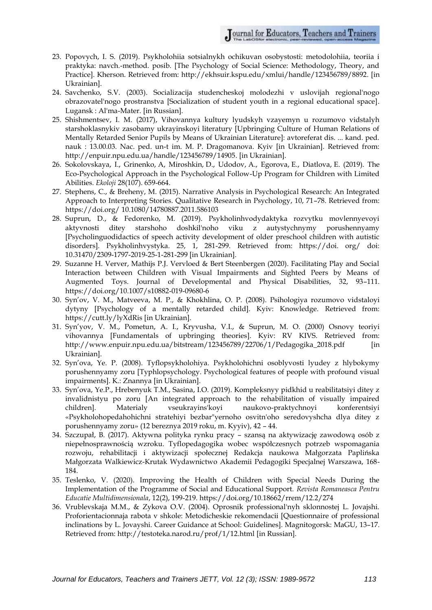- 23. Popovych, I. S. (2019). Psykholohiia sotsialnykh ochikuvan osobystosti: metodolohiia, teoriia i praktyka: navch.-method. posib. [The Psychology of Social Science: Methodology, Theory, and Practice]. Kherson. Retrieved from: [http://ekhsuir.kspu.edu/xmlui/handle/123456789/8892.](http://ekhsuir.kspu.edu/xmlui/handle/123456789/8892) [in Ukrainian].
- 24. Savchenko, S.V. (2003). Socializacija studencheskoj molodezhi v uslovijah regional'nogo obrazovatel'nogo prostranstva [Socialization of student youth in a regional educational space]. Lugansk : Al'ma-Mater. [in Russian].
- 25. Shishmentsev, I. M. (2017), Vihovannya kultury lyudskyh vzayemyn u rozumovo vidstalyh starshoklasnykiv zasobamy ukrayinskoyi literatury [Upbringing Culture of Human Relations of Mentally Retarded Senior Pupils by Means of Ukrainian Literature]: avtoreferat dis. ... kand. ped. nauk : 13.00.03. Nac. ped. un-t im. M. P. Dragomanova. Kyiv [in Ukrainian]. Retrieved from: [http://enpuir.npu.edu.ua/handle/123456789/14905.](http://enpuir.npu.edu.ua/handle/123456789/14905) [in Ukrainian].
- 26. Sokolovskaya, I., Grinenko, A, Miroshkin, D., Udodov, A., Egorova, E., Diatlova, E. (2019). The Eco-Psychological Approach in the Psychological Follow-Up Program for Children with Limited Abilities. *Ekoloji* 28(107). 659-664.
- 27. Stephens, C., & Breheny, M. (2015). Narrative Analysis in Psychological Research: An Integrated Approach to Interpreting Stories. Qualitative Research in Psychology, 10, 71–78. Retrieved from: [https://doi.org/ 10.1080/14780887.2011.586103](https://doi.org/%2010.1080/14780887.2011.586103)
- 28. Suprun, D., & Fedorenko, М. (2019). Psykholinhvodydaktyka rozvytku movlennyevoyi aktyvnosti ditey starshoho doshkil'noho viku z autystychnymy porushennyamy [Psycholinguodidactics of speech activity development of older preschool children with autistic disorders]. Psykholinhvystyka. 25, 1, 281-299. Retrieved from: https://doi. org/ doi: 10.31470/2309-1797-2019-25-1-281-299 [in Ukrainian].
- 29. Suzanne H. Verver, Mathijs P.J. Vervloed & Bert Steenbergen (2020). Facilitating Play and Social Interaction between Children with Visual Impairments and Sighted Peers by Means of Augmented Toys. Journal of Developmental and Physical Disabilities, 32, 93–111. https://doi.org/10.1007/s10882-019-09680-6
- 30. Syn'ov, V. M., Matveeva, M. P., & Khokhlina, O. P. (2008). Psihologiya rozumovo vidstaloyi dytyny [Psychology of a mentally retarded child]. Kyiv: Knowledge. Retrieved from: <https://cutt.ly/lyXdRis> [in Ukrainian].
- 31. Syn'yov, V. M., Pometun, A. I., Kryvusha, V.I., & Suprun, M. O. (2000) Osnovy teoriyi vihovannya [Fundamentals of upbringing theories]. Kyiv: RV KIVS. Retrieved from: [http://www.enpuir.npu.edu.ua/bitstream/123456789/22706/1/Pedagogika\\_2018.pdf](http://www.enpuir.npu.edu.ua/bitstream/123456789/22706/1/Pedagogika_2018.pdf) [in Ukrainian].
- 32. Syn'ova, Ye. P. (2008). Tyflopsykholohiya. Psykholohichni osoblyvosti lyudey z hlybokymy porushennyamy zoru [Typhlopsychology. Psychological features of people with profound visual impairments]. K.: Znannya [in Ukrainian].
- 33. Syn'ova, Ye.P., Hrebenyuk T.M., Sasina, I.O. (2019). Kompleksnyy pidkhid u reabilitatsiyi ditey z invalidnistyu po zoru [An integrated approach to the rehabilitation of visually impaired children]. Materialy vseukrayins'koyi naukovo-praktychnoyi konferentsiyi «Psykholohopedahohichni stratehiyi bezbar"yernoho osvitn'oho seredovyshcha dlya ditey z porushennyamy zoru» (12 bereznya 2019 roku, m. Kyyiv), 42 – 44.
- 34. Szczupał, B. (2017). Aktywna polityka rynku pracy szansą na aktywizację zawodową osób z niepełnosprawnością wzroku. Tyflopedagogika wobec współczesnych potrzeb wspomagania rozwoju, rehabilitacji i aktywizacji społecznej Redakcja naukowa Małgorzata Paplińska Małgorzata Walkiewicz-Krutak Wydawnictwo Akademii Pedagogiki Specjalnej Warszawa, 168- 184.
- 35. Teslenko, V. (2020). Improving the Health of Children with Special Needs During the Implementation of the Programme of Social and Educational Support. *Revista Romaneasca Pentru Educatie Multidimensionala*, 12(2), 199-219. https://doi.org/10.18662/rrem/12.2/274
- 36. Vrublevskaja M.M., & Zykova O.V. (2004). Oprosnik professional'nyh sklonnostej L. Jovajshi. Proforientacionnaja rabota v shkole: Metodicheskie rekomendacii [Questionnaire of professional inclinations by L. Jovayshi. Career Guidance at School: Guidelines]. Magnitogorsk: MaGU, 13–17. Retrieved from:<http://testoteka.narod.ru/prof/1/12.html> [in Russian].